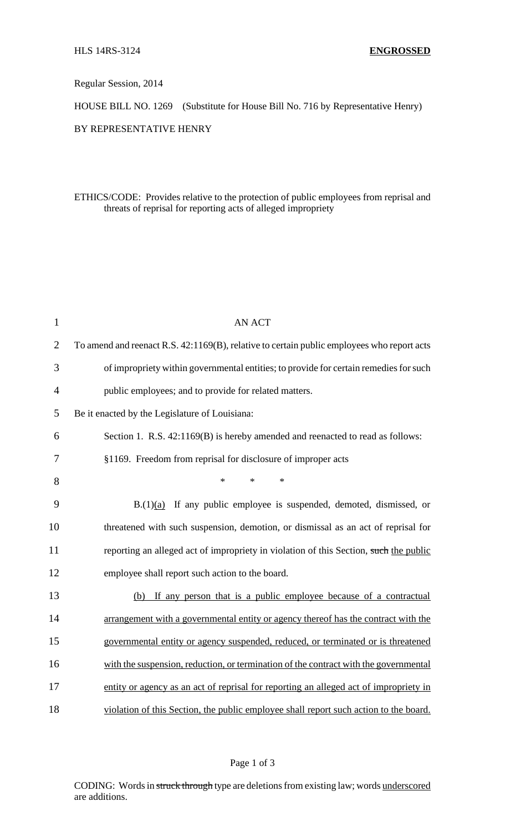Regular Session, 2014

HOUSE BILL NO. 1269 (Substitute for House Bill No. 716 by Representative Henry)

BY REPRESENTATIVE HENRY

ETHICS/CODE: Provides relative to the protection of public employees from reprisal and threats of reprisal for reporting acts of alleged impropriety

| $\mathbf{1}$   | <b>AN ACT</b>                                                                              |
|----------------|--------------------------------------------------------------------------------------------|
| $\overline{2}$ | To amend and reenact R.S. 42:1169(B), relative to certain public employees who report acts |
| 3              | of impropriety within governmental entities; to provide for certain remedies for such      |
| $\overline{4}$ | public employees; and to provide for related matters.                                      |
| 5              | Be it enacted by the Legislature of Louisiana:                                             |
| 6              | Section 1. R.S. 42:1169(B) is hereby amended and reenacted to read as follows:             |
| 7              | §1169. Freedom from reprisal for disclosure of improper acts                               |
| 8              | $\ast$<br>*<br>$\ast$                                                                      |
| 9              | $B(1)(a)$ If any public employee is suspended, demoted, dismissed, or                      |
| 10             | threatened with such suspension, demotion, or dismissal as an act of reprisal for          |
| 11             | reporting an alleged act of impropriety in violation of this Section, such the public      |
| 12             | employee shall report such action to the board.                                            |
| 13             | (b) If any person that is a public employee because of a contractual                       |
| 14             | arrangement with a governmental entity or agency thereof has the contract with the         |
| 15             | governmental entity or agency suspended, reduced, or terminated or is threatened           |
| 16             | with the suspension, reduction, or termination of the contract with the governmental       |
| 17             | entity or agency as an act of reprisal for reporting an alleged act of impropriety in      |
| 18             | violation of this Section, the public employee shall report such action to the board.      |

## Page 1 of 3

CODING: Words in struck through type are deletions from existing law; words underscored are additions.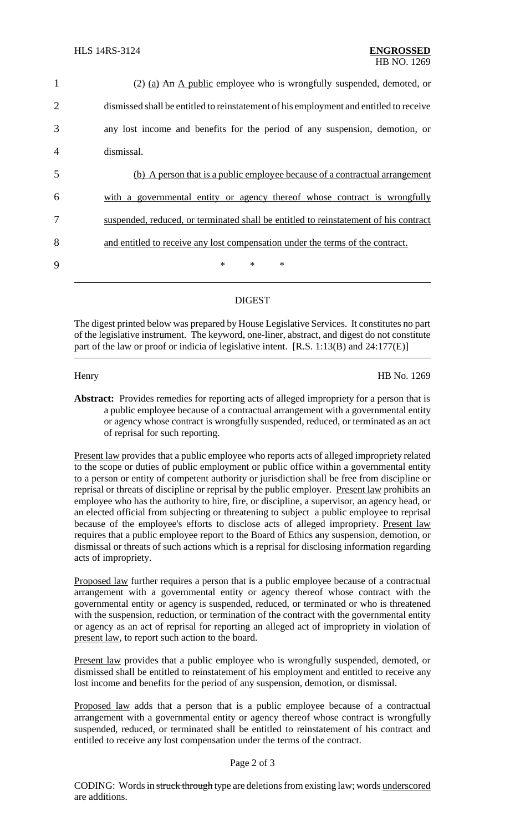| $\mathbf{1}$   | (2) (a) $\overline{An}$ A public employee who is wrongfully suspended, demoted, or     |
|----------------|----------------------------------------------------------------------------------------|
| $\overline{2}$ | dismissed shall be entitled to reinstatement of his employment and entitled to receive |
| 3              | any lost income and benefits for the period of any suspension, demotion, or            |
| $\overline{4}$ | dismissal.                                                                             |
| 5              | (b) A person that is a public employee because of a contractual arrangement            |
| 6              | with a governmental entity or agency thereof whose contract is wrongfully              |
| 7              | suspended, reduced, or terminated shall be entitled to reinstatement of his contract   |
| 8              | and entitled to receive any lost compensation under the terms of the contract.         |
| 9              | $*$<br>$\ast$<br>∗                                                                     |
|                |                                                                                        |

## **DIGEST**

The digest printed below was prepared by House Legislative Services. It constitutes no part of the legislative instrument. The keyword, one-liner, abstract, and digest do not constitute part of the law or proof or indicia of legislative intent. [R.S. 1:13(B) and 24:177(E)]

Henry HB No. 1269

Abstract: Provides remedies for reporting acts of alleged impropriety for a person that is a public employee because of a contractual arrangement with a governmental entity or agency whose contract is wrongfully suspended, reduced, or terminated as an act of reprisal for such reporting.

Present law provides that a public employee who reports acts of alleged impropriety related to the scope or duties of public employment or public office within a governmental entity to a person or entity of competent authority or jurisdiction shall be free from discipline or reprisal or threats of discipline or reprisal by the public employer. Present law prohibits an employee who has the authority to hire, fire, or discipline, a supervisor, an agency head, or an elected official from subjecting or threatening to subject a public employee to reprisal because of the employee's efforts to disclose acts of alleged impropriety. Present law requires that a public employee report to the Board of Ethics any suspension, demotion, or dismissal or threats of such actions which is a reprisal for disclosing information regarding acts of impropriety.

Proposed law further requires a person that is a public employee because of a contractual arrangement with a governmental entity or agency thereof whose contract with the governmental entity or agency is suspended, reduced, or terminated or who is threatened with the suspension, reduction, or termination of the contract with the governmental entity or agency as an act of reprisal for reporting an alleged act of impropriety in violation of present law, to report such action to the board.

Present law provides that a public employee who is wrongfully suspended, demoted, or dismissed shall be entitled to reinstatement of his employment and entitled to receive any lost income and benefits for the period of any suspension, demotion, or dismissal.

Proposed law adds that a person that is a public employee because of a contractual arrangement with a governmental entity or agency thereof whose contract is wrongfully suspended, reduced, or terminated shall be entitled to reinstatement of his contract and entitled to receive any lost compensation under the terms of the contract.